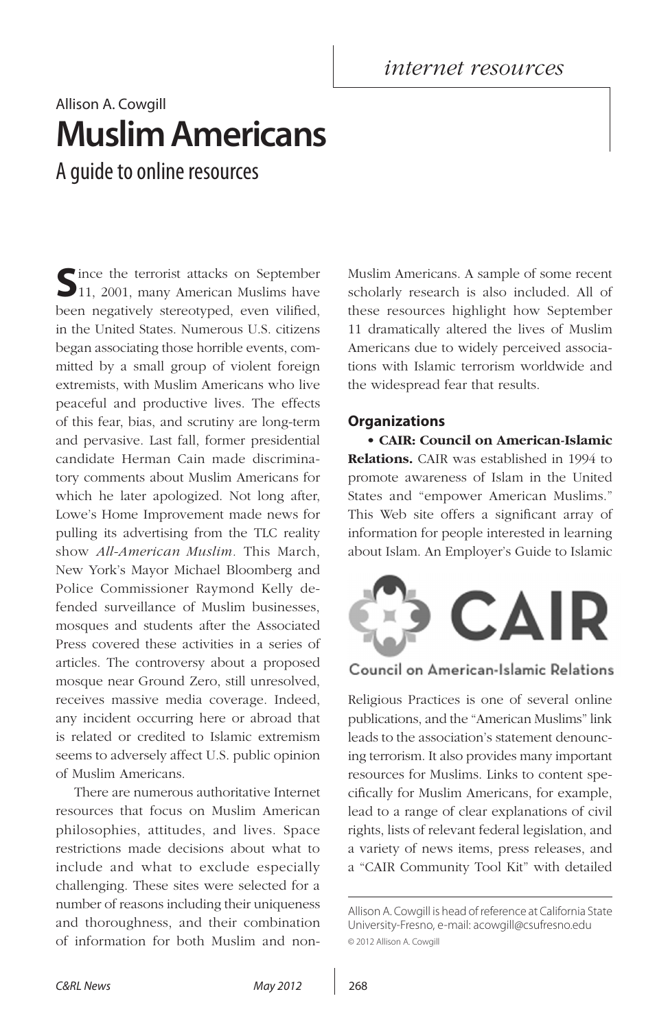*internet resources*

## Allison A. Cowgill **Muslim Americans** A guide to online resources

Since the terrorist attacks on September 11, 2001, many American Muslims have been negatively stereotyped, even vilified, in the United States. Numerous U.S. citizens began associating those horrible events, committed by a small group of violent foreign extremists, with Muslim Americans who live peaceful and productive lives. The effects of this fear, bias, and scrutiny are long-term and pervasive. Last fall, former presidential candidate Herman Cain made discriminatory comments about Muslim Americans for which he later apologized. Not long after, Lowe's Home Improvement made news for pulling its advertising from the TLC reality show *All-American Muslim.* This March, New York's Mayor Michael Bloomberg and Police Commissioner Raymond Kelly defended surveillance of Muslim businesses, mosques and students after the Associated Press covered these activities in a series of articles. The controversy about a proposed mosque near Ground Zero, still unresolved, receives massive media coverage. Indeed, any incident occurring here or abroad that is related or credited to Islamic extremism seems to adversely affect U.S. public opinion of Muslim Americans.

There are numerous authoritative Internet resources that focus on Muslim American philosophies, attitudes, and lives. Space restrictions made decisions about what to include and what to exclude especially challenging. These sites were selected for a number of reasons including their uniqueness and thoroughness, and their combination of information for both Muslim and nonMuslim Americans. A sample of some recent scholarly research is also included. All of these resources highlight how September 11 dramatically altered the lives of Muslim Americans due to widely perceived associations with Islamic terrorism worldwide and the widespread fear that results.

## **Organizations**

• **CAIR: Council on American-Islamic Relations.** CAIR was established in 1994 to promote awareness of Islam in the United States and "empower American Muslims." This Web site offers a significant array of information for people interested in learning about Islam. An Employer's Guide to Islamic



## Council on American-Islamic Relations

Religious Practices is one of several online publications, and the "American Muslims" link leads to the association's statement denouncing terrorism. It also provides many important resources for Muslims. Links to content specifically for Muslim Americans, for example, lead to a range of clear explanations of civil rights, lists of relevant federal legislation, and a variety of news items, press releases, and a "CAIR Community Tool Kit" with detailed

Allison A. Cowgill is head of reference at California State University-Fresno, e-mail: acowgill@csufresno.edu © 2012 Allison A. Cowgill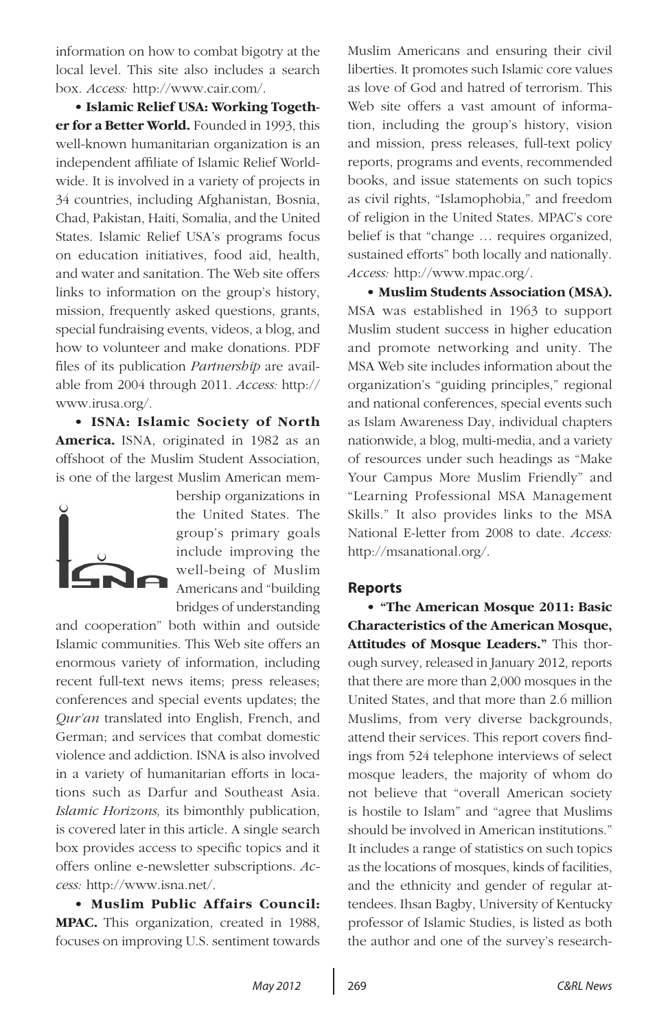information on how to combat bigotry at the local level. This site also includes a search box. *Access:* http://www.cair.com/.

• **Islamic Relief USA: Working Together for a Better World.** Founded in 1993, this well-known humanitarian organization is an independent affiliate of Islamic Relief Worldwide. It is involved in a variety of projects in 34 countries, including Afghanistan, Bosnia, Chad, Pakistan, Haiti, Somalia, and the United States. Islamic Relief USA's programs focus on education initiatives, food aid, health, and water and sanitation. The Web site offers links to information on the group's history, mission, frequently asked questions, grants, special fundraising events, videos, a blog, and how to volunteer and make donations. PDF files of its publication *Partnership* are available from 2004 through 2011. *Access:* http:// www.irusa.org/.

• **ISNA: Islamic Society of North America.** ISNA, originated in 1982 as an offshoot of the Muslim Student Association, is one of the largest Muslim American mem-



bership organizations in the United States. The group's primary goals include improving the well-being of Muslim Americans and "building bridges of understanding

and cooperation" both within and outside Islamic communities. This Web site offers an enormous variety of information, including recent full-text news items; press releases; conferences and special events updates; the *Qur'an* translated into English, French, and German; and services that combat domestic violence and addiction. ISNA is also involved in a variety of humanitarian efforts in locations such as Darfur and Southeast Asia. *Islamic Horizons,* its bimonthly publication, is covered later in this article. A single search box provides access to specific topics and it offers online e-newsletter subscriptions. *Access:* http://www.isna.net/.

• **Muslim Public Affairs Council: MPAC.** This organization, created in 1988, focuses on improving U.S. sentiment towards Muslim Americans and ensuring their civil liberties. It promotes such Islamic core values as love of God and hatred of terrorism. This Web site offers a vast amount of information, including the group's history, vision and mission, press releases, full-text policy reports, programs and events, recommended books, and issue statements on such topics as civil rights, "Islamophobia," and freedom of religion in the United States. MPAC's core belief is that "change … requires organized, sustained efforts" both locally and nationally. *Access:* http://www.mpac.org/.

• **Muslim Students Association (MSA).**  MSA was established in 1963 to support Muslim student success in higher education and promote networking and unity. The MSA Web site includes information about the organization's "guiding principles," regional and national conferences, special events such as Islam Awareness Day, individual chapters nationwide, a blog, multi-media, and a variety of resources under such headings as "Make Your Campus More Muslim Friendly" and "Learning Professional MSA Management Skills." It also provides links to the MSA National E-letter from 2008 to date. *Access:* http://msanational.org/.

### **Reports**

• **"The American Mosque 2011: Basic Characteristics of the American Mosque, Attitudes of Mosque Leaders."** This thorough survey, released in January 2012, reports that there are more than 2,000 mosques in the United States, and that more than 2.6 million Muslims, from very diverse backgrounds, attend their services. This report covers findings from 524 telephone interviews of select mosque leaders, the majority of whom do not believe that "overall American society is hostile to Islam" and "agree that Muslims should be involved in American institutions." It includes a range of statistics on such topics as the locations of mosques, kinds of facilities, and the ethnicity and gender of regular attendees. Ihsan Bagby, University of Kentucky professor of Islamic Studies, is listed as both the author and one of the survey's research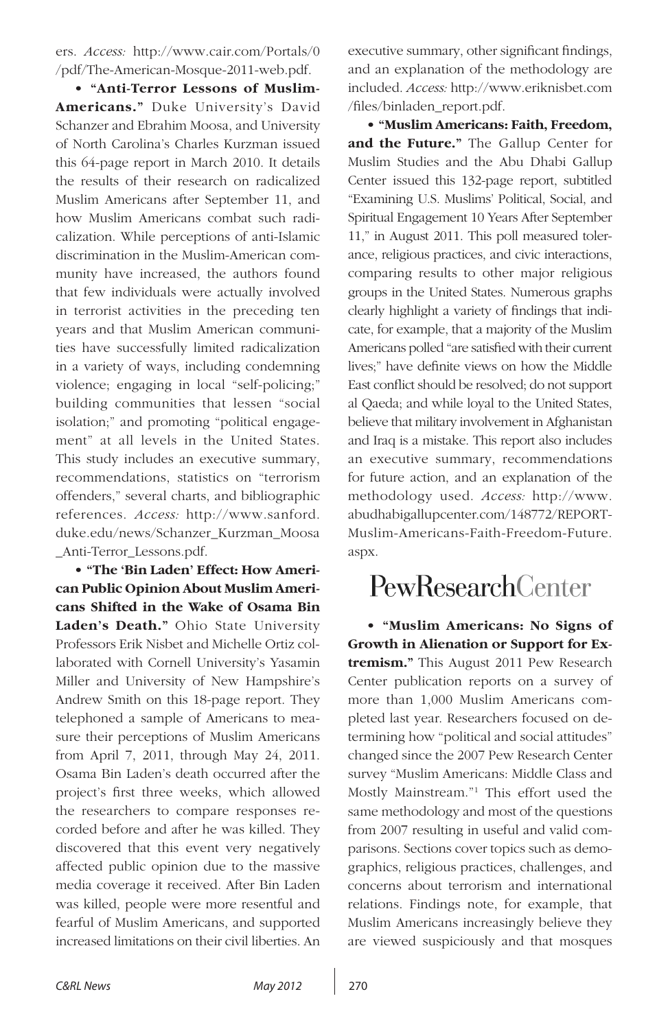ers. *Access:* http://www.cair.com/Portals/0 /pdf/The-American-Mosque-2011-web.pdf.

• **"Anti-Terror Lessons of Muslim-Americans."** Duke University's David Schanzer and Ebrahim Moosa, and University of North Carolina's Charles Kurzman issued this 64-page report in March 2010. It details the results of their research on radicalized Muslim Americans after September 11, and how Muslim Americans combat such radicalization. While perceptions of anti-Islamic discrimination in the Muslim-American community have increased, the authors found that few individuals were actually involved in terrorist activities in the preceding ten years and that Muslim American communities have successfully limited radicalization in a variety of ways, including condemning violence; engaging in local "self-policing;" building communities that lessen "social isolation;" and promoting "political engagement" at all levels in the United States. This study includes an executive summary, recommendations, statistics on "terrorism offenders," several charts, and bibliographic references. *Access:* http://www.sanford. duke.edu/news/Schanzer\_Kurzman\_Moosa \_Anti-Terror\_Lessons.pdf.

• **"The 'Bin Laden' Effect: How American Public Opinion About Muslim Americans Shifted in the Wake of Osama Bin Laden's Death."** Ohio State University Professors Erik Nisbet and Michelle Ortiz collaborated with Cornell University's Yasamin Miller and University of New Hampshire's Andrew Smith on this 18-page report. They telephoned a sample of Americans to measure their perceptions of Muslim Americans from April 7, 2011, through May 24, 2011. Osama Bin Laden's death occurred after the project's first three weeks, which allowed the researchers to compare responses recorded before and after he was killed. They discovered that this event very negatively affected public opinion due to the massive media coverage it received. After Bin Laden was killed, people were more resentful and fearful of Muslim Americans, and supported increased limitations on their civil liberties. An executive summary, other significant findings, and an explanation of the methodology are included. *Access:* http://www.eriknisbet.com /files/binladen\_report.pdf.

• **"Muslim Americans: Faith, Freedom, and the Future."** The Gallup Center for Muslim Studies and the Abu Dhabi Gallup Center issued this 132-page report, subtitled "Examining U.S. Muslims' Political, Social, and Spiritual Engagement 10 Years After September 11," in August 2011. This poll measured tolerance, religious practices, and civic interactions, comparing results to other major religious groups in the United States. Numerous graphs clearly highlight a variety of findings that indicate, for example, that a majority of the Muslim Americans polled "are satisfied with their current lives;" have definite views on how the Middle East conflict should be resolved; do not support al Qaeda; and while loyal to the United States, believe that military involvement in Afghanistan and Iraq is a mistake. This report also includes an executive summary, recommendations for future action, and an explanation of the methodology used. *Access:* http://www. abudhabigallupcenter.com/148772/REPORT-Muslim-Americans-Faith-Freedom-Future. aspx.

# PewResearchCenter

• **"Muslim Americans: No Signs of Growth in Alienation or Support for Extremism."** This August 2011 Pew Research Center publication reports on a survey of more than 1,000 Muslim Americans completed last year. Researchers focused on determining how "political and social attitudes" changed since the 2007 Pew Research Center survey "Muslim Americans: Middle Class and Mostly Mainstream."1 This effort used the same methodology and most of the questions from 2007 resulting in useful and valid comparisons. Sections cover topics such as demographics, religious practices, challenges, and concerns about terrorism and international relations. Findings note, for example, that Muslim Americans increasingly believe they are viewed suspiciously and that mosques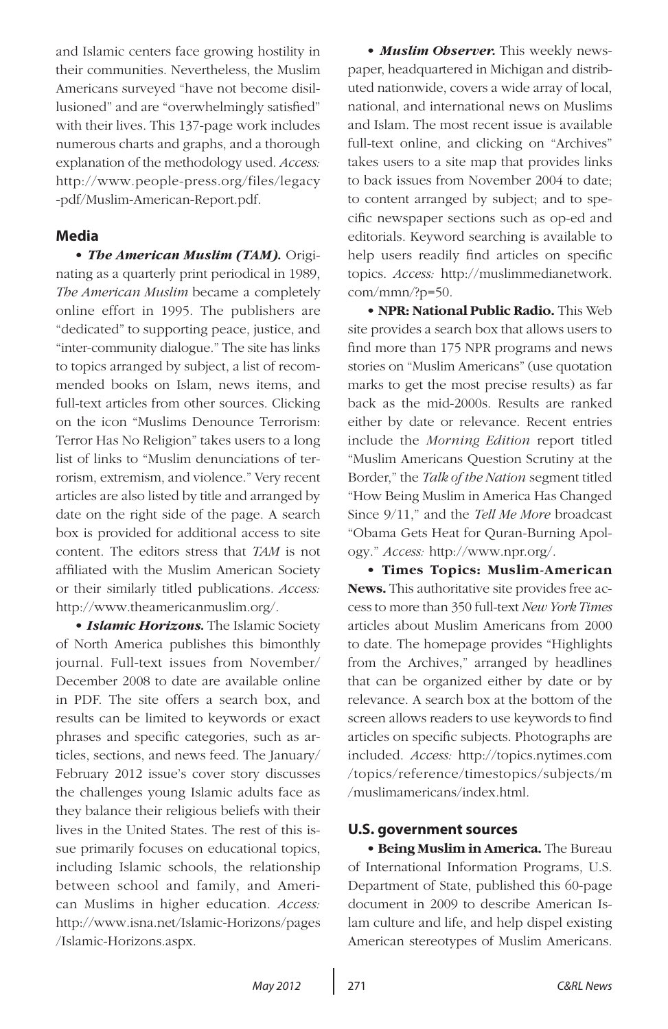and Islamic centers face growing hostility in their communities. Nevertheless, the Muslim Americans surveyed "have not become disillusioned" and are "overwhelmingly satisfied" with their lives. This 137-page work includes numerous charts and graphs, and a thorough explanation of the methodology used. *Access:*  http://www.people-press.org/files/legacy -pdf/Muslim-American-Report.pdf.

### **Media**

• *The American Muslim (TAM).* Originating as a quarterly print periodical in 1989, *The American Muslim* became a completely online effort in 1995. The publishers are "dedicated" to supporting peace, justice, and "inter-community dialogue." The site has links to topics arranged by subject, a list of recommended books on Islam, news items, and full-text articles from other sources. Clicking on the icon "Muslims Denounce Terrorism: Terror Has No Religion" takes users to a long list of links to "Muslim denunciations of terrorism, extremism, and violence." Very recent articles are also listed by title and arranged by date on the right side of the page. A search box is provided for additional access to site content. The editors stress that *TAM* is not affiliated with the Muslim American Society or their similarly titled publications. *Access:* http://www.theamericanmuslim.org/.

• *Islamic Horizons.* The Islamic Society of North America publishes this bimonthly journal. Full-text issues from November/ December 2008 to date are available online in PDF. The site offers a search box, and results can be limited to keywords or exact phrases and specific categories, such as articles, sections, and news feed. The January/ February 2012 issue's cover story discusses the challenges young Islamic adults face as they balance their religious beliefs with their lives in the United States. The rest of this issue primarily focuses on educational topics, including Islamic schools, the relationship between school and family, and American Muslims in higher education. *Access:*  http://www.isna.net/Islamic-Horizons/pages /Islamic-Horizons.aspx.

• *Muslim Observer.* This weekly newspaper, headquartered in Michigan and distributed nationwide, covers a wide array of local, national, and international news on Muslims and Islam. The most recent issue is available full-text online, and clicking on "Archives" takes users to a site map that provides links to back issues from November 2004 to date; to content arranged by subject; and to specific newspaper sections such as op-ed and editorials. Keyword searching is available to help users readily find articles on specific topics. *Access:* http://muslimmedianetwork. com/mmn/?p=50.

• **NPR: National Public Radio.** This Web site provides a search box that allows users to find more than 175 NPR programs and news stories on "Muslim Americans" (use quotation marks to get the most precise results) as far back as the mid-2000s. Results are ranked either by date or relevance. Recent entries include the *Morning Edition* report titled "Muslim Americans Question Scrutiny at the Border," the *Talk of the Nation* segment titled "How Being Muslim in America Has Changed Since 9/11," and the *Tell Me More* broadcast "Obama Gets Heat for Quran-Burning Apology." *Access:* http://www.npr.org/.

**• Times Topics: Muslim-American News.** This authoritative site provides free access to more than 350 full-text *New York Times*  articles about Muslim Americans from 2000 to date. The homepage provides "Highlights from the Archives," arranged by headlines that can be organized either by date or by relevance. A search box at the bottom of the screen allows readers to use keywords to find articles on specific subjects. Photographs are included. *Access:* http://topics.nytimes.com /topics/reference/timestopics/subjects/m /muslimamericans/index.html.

### **U.S. government sources**

• **Being Muslim in America.** The Bureau of International Information Programs, U.S. Department of State, published this 60-page document in 2009 to describe American Islam culture and life, and help dispel existing American stereotypes of Muslim Americans.